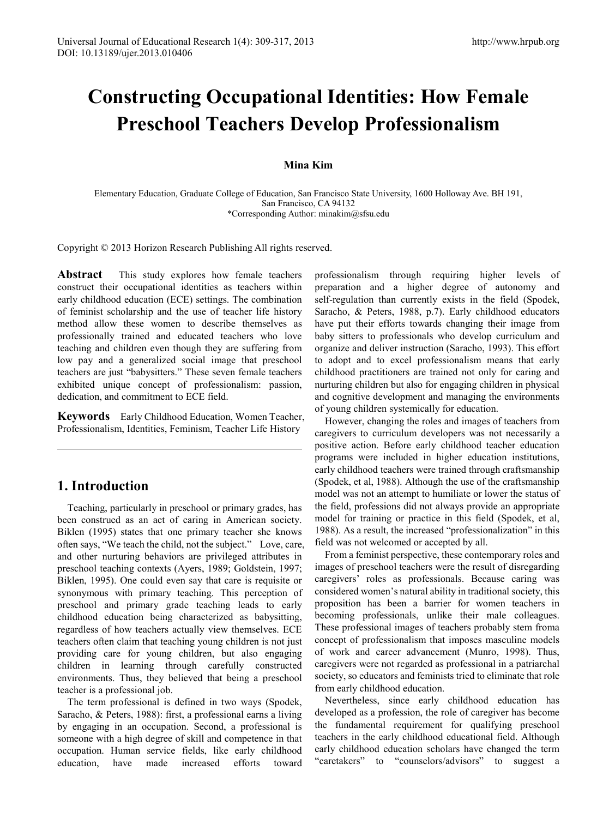# **Constructing Occupational Identities: How Female Preschool Teachers Develop Professionalism**

### **Mina Kim**

Elementary Education, Graduate College of Education, San Francisco State University, 1600 Holloway Ave. BH 191, San Francisco, CA 94132 \*Corresponding Author: minakim@sfsu.edu

Copyright © 2013 Horizon Research Publishing All rights reserved.

**Abstract** This study explores how female teachers construct their occupational identities as teachers within early childhood education (ECE) settings. The combination of feminist scholarship and the use of teacher life history method allow these women to describe themselves as professionally trained and educated teachers who love teaching and children even though they are suffering from low pay and a generalized social image that preschool teachers are just "babysitters." These seven female teachers exhibited unique concept of professionalism: passion, dedication, and commitment to ECE field.

**Keywords** Early Childhood Education, Women Teacher, Professionalism, Identities, Feminism, Teacher Life History

# **1. Introduction**

Teaching, particularly in preschool or primary grades, has been construed as an act of caring in American society. Biklen (1995) states that one primary teacher she knows often says, "We teach the child, not the subject." Love, care, and other nurturing behaviors are privileged attributes in preschool teaching contexts (Ayers, 1989; Goldstein, 1997; Biklen, 1995). One could even say that care is requisite or synonymous with primary teaching. This perception of preschool and primary grade teaching leads to early childhood education being characterized as babysitting, regardless of how teachers actually view themselves. ECE teachers often claim that teaching young children is not just providing care for young children, but also engaging children in learning through carefully constructed environments. Thus, they believed that being a preschool teacher is a professional job.

The term professional is defined in two ways (Spodek, Saracho, & Peters, 1988): first, a professional earns a living by engaging in an occupation. Second, a professional is someone with a high degree of skill and competence in that occupation. Human service fields, like early childhood education, have made increased efforts toward professionalism through requiring higher levels of preparation and a higher degree of autonomy and self-regulation than currently exists in the field (Spodek, Saracho, & Peters, 1988, p.7). Early childhood educators have put their efforts towards changing their image from baby sitters to professionals who develop curriculum and organize and deliver instruction (Saracho, 1993). This effort to adopt and to excel professionalism means that early childhood practitioners are trained not only for caring and nurturing children but also for engaging children in physical and cognitive development and managing the environments of young children systemically for education.

However, changing the roles and images of teachers from caregivers to curriculum developers was not necessarily a positive action. Before early childhood teacher education programs were included in higher education institutions, early childhood teachers were trained through craftsmanship (Spodek, et al, 1988). Although the use of the craftsmanship model was not an attempt to humiliate or lower the status of the field, professions did not always provide an appropriate model for training or practice in this field (Spodek, et al, 1988). As a result, the increased "professionalization" in this field was not welcomed or accepted by all.

From a feminist perspective, these contemporary roles and images of preschool teachers were the result of disregarding caregivers' roles as professionals. Because caring was considered women's natural ability in traditional society, this proposition has been a barrier for women teachers in becoming professionals, unlike their male colleagues. These professional images of teachers probably stem froma concept of professionalism that imposes masculine models of work and career advancement (Munro, 1998). Thus, caregivers were not regarded as professional in a patriarchal society, so educators and feminists tried to eliminate that role from early childhood education.

Nevertheless, since early childhood education has developed as a profession, the role of caregiver has become the fundamental requirement for qualifying preschool teachers in the early childhood educational field. Although early childhood education scholars have changed the term "caretakers" to "counselors/advisors" to suggest a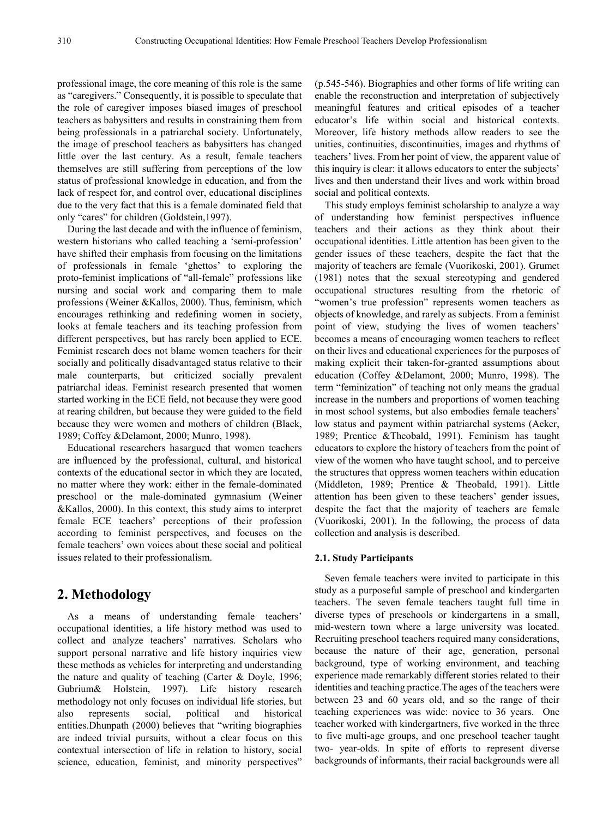professional image, the core meaning of this role is the same as "caregivers." Consequently, it is possible to speculate that the role of caregiver imposes biased images of preschool teachers as babysitters and results in constraining them from being professionals in a patriarchal society. Unfortunately, the image of preschool teachers as babysitters has changed little over the last century. As a result, female teachers themselves are still suffering from perceptions of the low status of professional knowledge in education, and from the lack of respect for, and control over, educational disciplines due to the very fact that this is a female dominated field that only "cares" for children (Goldstein,1997).

During the last decade and with the influence of feminism, western historians who called teaching a 'semi-profession' have shifted their emphasis from focusing on the limitations of professionals in female 'ghettos' to exploring the proto-feminist implications of "all-female" professions like nursing and social work and comparing them to male professions (Weiner &Kallos, 2000). Thus, feminism, which encourages rethinking and redefining women in society, looks at female teachers and its teaching profession from different perspectives, but has rarely been applied to ECE. Feminist research does not blame women teachers for their socially and politically disadvantaged status relative to their male counterparts, but criticized socially prevalent patriarchal ideas. Feminist research presented that women started working in the ECE field, not because they were good at rearing children, but because they were guided to the field because they were women and mothers of children (Black, 1989; Coffey &Delamont, 2000; Munro, 1998).

Educational researchers hasargued that women teachers are influenced by the professional, cultural, and historical contexts of the educational sector in which they are located, no matter where they work: either in the female-dominated preschool or the male-dominated gymnasium (Weiner &Kallos, 2000). In this context, this study aims to interpret female ECE teachers' perceptions of their profession according to feminist perspectives, and focuses on the female teachers' own voices about these social and political issues related to their professionalism.

## **2. Methodology**

As a means of understanding female teachers' occupational identities, a life history method was used to collect and analyze teachers' narratives. Scholars who support personal narrative and life history inquiries view these methods as vehicles for interpreting and understanding the nature and quality of teaching (Carter & Doyle, 1996; Gubrium& Holstein, 1997). Life history research methodology not only focuses on individual life stories, but also represents social, political and historical entities.Dhunpath (2000) believes that "writing biographies are indeed trivial pursuits, without a clear focus on this contextual intersection of life in relation to history, social science, education, feminist, and minority perspectives"

(p.545-546). Biographies and other forms of life writing can enable the reconstruction and interpretation of subjectively meaningful features and critical episodes of a teacher educator's life within social and historical contexts. Moreover, life history methods allow readers to see the unities, continuities, discontinuities, images and rhythms of teachers' lives. From her point of view, the apparent value of this inquiry is clear: it allows educators to enter the subjects' lives and then understand their lives and work within broad social and political contexts.

This study employs feminist scholarship to analyze a way of understanding how feminist perspectives influence teachers and their actions as they think about their occupational identities. Little attention has been given to the gender issues of these teachers, despite the fact that the majority of teachers are female (Vuorikoski, 2001). Grumet (1981) notes that the sexual stereotyping and gendered occupational structures resulting from the rhetoric of "women's true profession" represents women teachers as objects of knowledge, and rarely as subjects. From a feminist point of view, studying the lives of women teachers' becomes a means of encouraging women teachers to reflect on their lives and educational experiences for the purposes of making explicit their taken-for-granted assumptions about education (Coffey &Delamont, 2000; Munro, 1998). The term "feminization" of teaching not only means the gradual increase in the numbers and proportions of women teaching in most school systems, but also embodies female teachers' low status and payment within patriarchal systems (Acker, 1989; Prentice &Theobald, 1991). Feminism has taught educators to explore the history of teachers from the point of view of the women who have taught school, and to perceive the structures that oppress women teachers within education (Middleton, 1989; Prentice & Theobald, 1991). Little attention has been given to these teachers' gender issues, despite the fact that the majority of teachers are female (Vuorikoski, 2001). In the following, the process of data collection and analysis is described.

#### **2.1. Study Participants**

Seven female teachers were invited to participate in this study as a purposeful sample of preschool and kindergarten teachers. The seven female teachers taught full time in diverse types of preschools or kindergartens in a small, mid-western town where a large university was located. Recruiting preschool teachers required many considerations, because the nature of their age, generation, personal background, type of working environment, and teaching experience made remarkably different stories related to their identities and teaching practice.The ages of the teachers were between 23 and 60 years old, and so the range of their teaching experiences was wide: novice to 36 years. One teacher worked with kindergartners, five worked in the three to five multi-age groups, and one preschool teacher taught two- year-olds. In spite of efforts to represent diverse backgrounds of informants, their racial backgrounds were all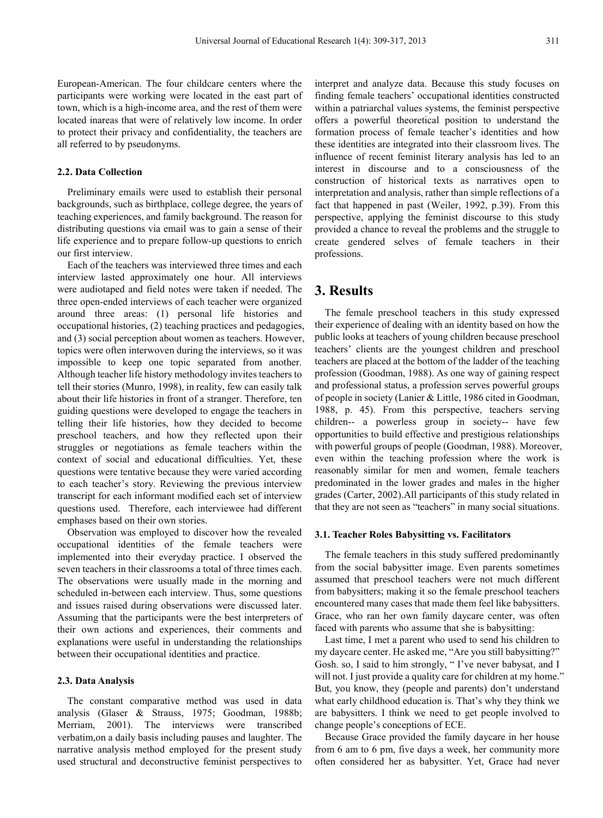European-American. The four childcare centers where the participants were working were located in the east part of town, which is a high-income area, and the rest of them were located inareas that were of relatively low income. In order to protect their privacy and confidentiality, the teachers are all referred to by pseudonyms.

#### **2.2. Data Collection**

Preliminary emails were used to establish their personal backgrounds, such as birthplace, college degree, the years of teaching experiences, and family background. The reason for distributing questions via email was to gain a sense of their life experience and to prepare follow-up questions to enrich our first interview.

Each of the teachers was interviewed three times and each interview lasted approximately one hour. All interviews were audiotaped and field notes were taken if needed. The three open-ended interviews of each teacher were organized around three areas: (1) personal life histories and occupational histories, (2) teaching practices and pedagogies, and (3) social perception about women as teachers. However, topics were often interwoven during the interviews, so it was impossible to keep one topic separated from another. Although teacher life history methodology invites teachers to tell their stories (Munro, 1998), in reality, few can easily talk about their life histories in front of a stranger. Therefore, ten guiding questions were developed to engage the teachers in telling their life histories, how they decided to become preschool teachers, and how they reflected upon their struggles or negotiations as female teachers within the context of social and educational difficulties. Yet, these questions were tentative because they were varied according to each teacher's story. Reviewing the previous interview transcript for each informant modified each set of interview questions used. Therefore, each interviewee had different emphases based on their own stories.

Observation was employed to discover how the revealed occupational identities of the female teachers were implemented into their everyday practice. I observed the seven teachers in their classrooms a total of three times each. The observations were usually made in the morning and scheduled in-between each interview. Thus, some questions and issues raised during observations were discussed later. Assuming that the participants were the best interpreters of their own actions and experiences, their comments and explanations were useful in understanding the relationships between their occupational identities and practice.

#### **2.3. Data Analysis**

The constant comparative method was used in data analysis (Glaser & Strauss, 1975; Goodman, 1988b; Merriam, 2001). The interviews were transcribed verbatim,on a daily basis including pauses and laughter. The narrative analysis method employed for the present study used structural and deconstructive feminist perspectives to

interpret and analyze data. Because this study focuses on finding female teachers' occupational identities constructed within a patriarchal values systems, the feminist perspective offers a powerful theoretical position to understand the formation process of female teacher's identities and how these identities are integrated into their classroom lives. The influence of recent feminist literary analysis has led to an interest in discourse and to a consciousness of the construction of historical texts as narratives open to interpretation and analysis, rather than simple reflections of a fact that happened in past (Weiler, 1992, p.39). From this perspective, applying the feminist discourse to this study provided a chance to reveal the problems and the struggle to create gendered selves of female teachers in their professions.

## **3. Results**

The female preschool teachers in this study expressed their experience of dealing with an identity based on how the public looks at teachers of young children because preschool teachers' clients are the youngest children and preschool teachers are placed at the bottom of the ladder of the teaching profession (Goodman, 1988). As one way of gaining respect and professional status, a profession serves powerful groups of people in society (Lanier & Little, 1986 cited in Goodman, 1988, p. 45). From this perspective, teachers serving children-- a powerless group in society-- have few opportunities to build effective and prestigious relationships with powerful groups of people (Goodman, 1988). Moreover, even within the teaching profession where the work is reasonably similar for men and women, female teachers predominated in the lower grades and males in the higher grades (Carter, 2002).All participants of this study related in that they are not seen as "teachers" in many social situations.

#### **3.1. Teacher Roles Babysitting vs. Facilitators**

The female teachers in this study suffered predominantly from the social babysitter image. Even parents sometimes assumed that preschool teachers were not much different from babysitters; making it so the female preschool teachers encountered many cases that made them feel like babysitters. Grace, who ran her own family daycare center, was often faced with parents who assume that she is babysitting:

Last time, I met a parent who used to send his children to my daycare center. He asked me, "Are you still babysitting?" Gosh. so, I said to him strongly, " I've never babysat, and I will not. I just provide a quality care for children at my home." But, you know, they (people and parents) don't understand what early childhood education is. That's why they think we are babysitters. I think we need to get people involved to change people's conceptions of ECE.

Because Grace provided the family daycare in her house from 6 am to 6 pm, five days a week, her community more often considered her as babysitter. Yet, Grace had never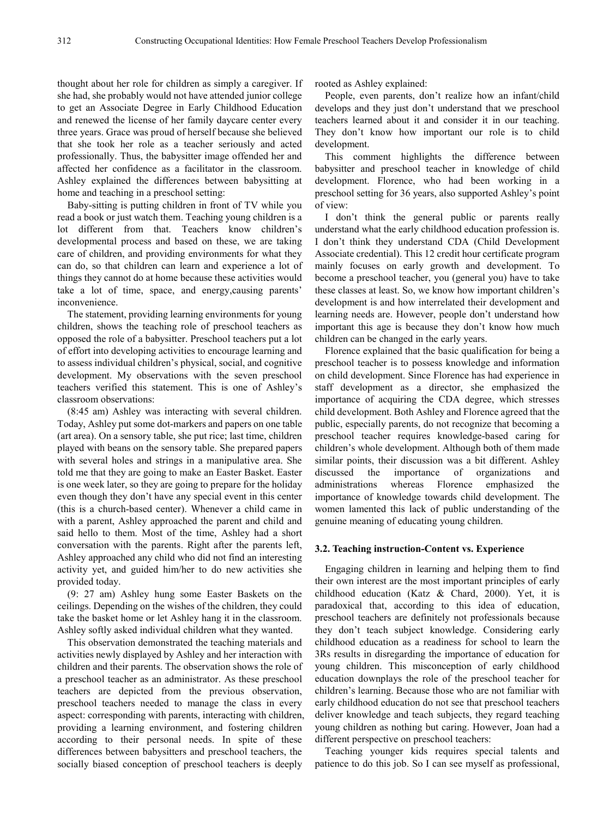thought about her role for children as simply a caregiver. If she had, she probably would not have attended junior college to get an Associate Degree in Early Childhood Education and renewed the license of her family daycare center every three years. Grace was proud of herself because she believed that she took her role as a teacher seriously and acted professionally. Thus, the babysitter image offended her and affected her confidence as a facilitator in the classroom. Ashley explained the differences between babysitting at home and teaching in a preschool setting:

Baby-sitting is putting children in front of TV while you read a book or just watch them. Teaching young children is a lot different from that. Teachers know children's developmental process and based on these, we are taking care of children, and providing environments for what they can do, so that children can learn and experience a lot of things they cannot do at home because these activities would take a lot of time, space, and energy,causing parents' inconvenience.

The statement, providing learning environments for young children, shows the teaching role of preschool teachers as opposed the role of a babysitter. Preschool teachers put a lot of effort into developing activities to encourage learning and to assess individual children's physical, social, and cognitive development. My observations with the seven preschool teachers verified this statement. This is one of Ashley's classroom observations:

(8:45 am) Ashley was interacting with several children. Today, Ashley put some dot-markers and papers on one table (art area). On a sensory table, she put rice; last time, children played with beans on the sensory table. She prepared papers with several holes and strings in a manipulative area. She told me that they are going to make an Easter Basket. Easter is one week later, so they are going to prepare for the holiday even though they don't have any special event in this center (this is a church-based center). Whenever a child came in with a parent, Ashley approached the parent and child and said hello to them. Most of the time, Ashley had a short conversation with the parents. Right after the parents left, Ashley approached any child who did not find an interesting activity yet, and guided him/her to do new activities she provided today.

(9: 27 am) Ashley hung some Easter Baskets on the ceilings. Depending on the wishes of the children, they could take the basket home or let Ashley hang it in the classroom. Ashley softly asked individual children what they wanted.

This observation demonstrated the teaching materials and activities newly displayed by Ashley and her interaction with children and their parents. The observation shows the role of a preschool teacher as an administrator. As these preschool teachers are depicted from the previous observation, preschool teachers needed to manage the class in every aspect: corresponding with parents, interacting with children, providing a learning environment, and fostering children according to their personal needs. In spite of these differences between babysitters and preschool teachers, the socially biased conception of preschool teachers is deeply

rooted as Ashley explained:

People, even parents, don't realize how an infant/child develops and they just don't understand that we preschool teachers learned about it and consider it in our teaching. They don't know how important our role is to child development.

This comment highlights the difference between babysitter and preschool teacher in knowledge of child development. Florence, who had been working in a preschool setting for 36 years, also supported Ashley's point of view:

I don't think the general public or parents really understand what the early childhood education profession is. I don't think they understand CDA (Child Development Associate credential). This 12 credit hour certificate program mainly focuses on early growth and development. To become a preschool teacher, you (general you) have to take these classes at least. So, we know how important children's development is and how interrelated their development and learning needs are. However, people don't understand how important this age is because they don't know how much children can be changed in the early years.

Florence explained that the basic qualification for being a preschool teacher is to possess knowledge and information on child development. Since Florence has had experience in staff development as a director, she emphasized the importance of acquiring the CDA degree, which stresses child development. Both Ashley and Florence agreed that the public, especially parents, do not recognize that becoming a preschool teacher requires knowledge-based caring for children's whole development. Although both of them made similar points, their discussion was a bit different. Ashley discussed the importance of organizations and administrations whereas Florence emphasized the importance of knowledge towards child development. The women lamented this lack of public understanding of the genuine meaning of educating young children.

#### **3.2. Teaching instruction-Content vs. Experience**

Engaging children in learning and helping them to find their own interest are the most important principles of early childhood education (Katz & Chard, 2000). Yet, it is paradoxical that, according to this idea of education, preschool teachers are definitely not professionals because they don't teach subject knowledge. Considering early childhood education as a readiness for school to learn the 3Rs results in disregarding the importance of education for young children. This misconception of early childhood education downplays the role of the preschool teacher for children's learning. Because those who are not familiar with early childhood education do not see that preschool teachers deliver knowledge and teach subjects, they regard teaching young children as nothing but caring. However, Joan had a different perspective on preschool teachers:

Teaching younger kids requires special talents and patience to do this job. So I can see myself as professional,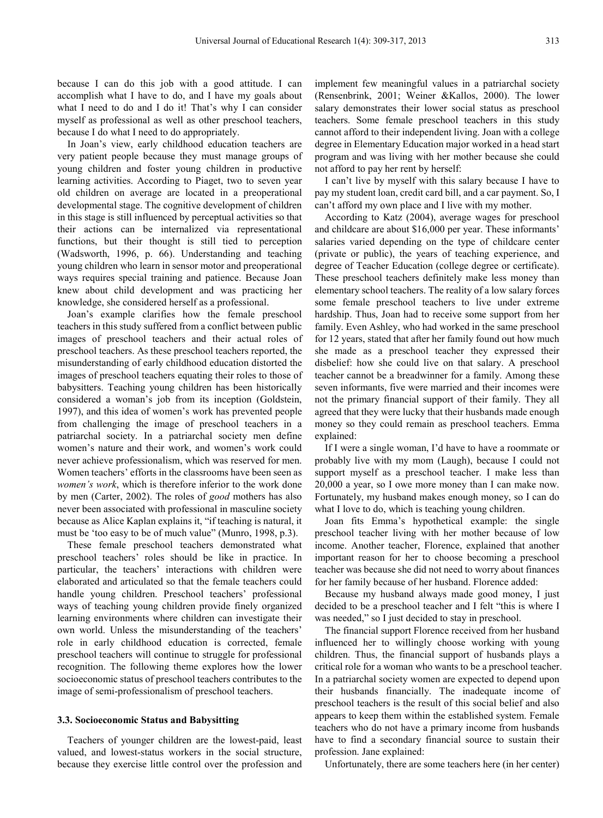because I can do this job with a good attitude. I can accomplish what I have to do, and I have my goals about what I need to do and I do it! That's why I can consider myself as professional as well as other preschool teachers, because I do what I need to do appropriately.

In Joan's view, early childhood education teachers are very patient people because they must manage groups of young children and foster young children in productive learning activities. According to Piaget, two to seven year old children on average are located in a preoperational developmental stage. The cognitive development of children in this stage is still influenced by perceptual activities so that their actions can be internalized via representational functions, but their thought is still tied to perception (Wadsworth, 1996, p. 66). Understanding and teaching young children who learn in sensor motor and preoperational ways requires special training and patience. Because Joan knew about child development and was practicing her knowledge, she considered herself as a professional.

Joan's example clarifies how the female preschool teachers in this study suffered from a conflict between public images of preschool teachers and their actual roles of preschool teachers. As these preschool teachers reported, the misunderstanding of early childhood education distorted the images of preschool teachers equating their roles to those of babysitters. Teaching young children has been historically considered a woman's job from its inception (Goldstein, 1997), and this idea of women's work has prevented people from challenging the image of preschool teachers in a patriarchal society. In a patriarchal society men define women's nature and their work, and women's work could never achieve professionalism, which was reserved for men. Women teachers' efforts in the classrooms have been seen as *women's work*, which is therefore inferior to the work done by men (Carter, 2002). The roles of *good* mothers has also never been associated with professional in masculine society because as Alice Kaplan explains it, "if teaching is natural, it must be 'too easy to be of much value" (Munro, 1998, p.3).

These female preschool teachers demonstrated what preschool teachers' roles should be like in practice. In particular, the teachers' interactions with children were elaborated and articulated so that the female teachers could handle young children. Preschool teachers' professional ways of teaching young children provide finely organized learning environments where children can investigate their own world. Unless the misunderstanding of the teachers' role in early childhood education is corrected, female preschool teachers will continue to struggle for professional recognition. The following theme explores how the lower socioeconomic status of preschool teachers contributes to the image of semi-professionalism of preschool teachers.

#### **3.3. Socioeconomic Status and Babysitting**

Teachers of younger children are the lowest-paid, least valued, and lowest-status workers in the social structure, because they exercise little control over the profession and

implement few meaningful values in a patriarchal society (Rensenbrink, 2001; Weiner &Kallos, 2000). The lower salary demonstrates their lower social status as preschool teachers. Some female preschool teachers in this study cannot afford to their independent living. Joan with a college degree in Elementary Education major worked in a head start program and was living with her mother because she could not afford to pay her rent by herself:

I can't live by myself with this salary because I have to pay my student loan, credit card bill, and a car payment. So, I can't afford my own place and I live with my mother.

According to Katz (2004), average wages for preschool and childcare are about \$16,000 per year. These informants' salaries varied depending on the type of childcare center (private or public), the years of teaching experience, and degree of Teacher Education (college degree or certificate). These preschool teachers definitely make less money than elementary school teachers. The reality of a low salary forces some female preschool teachers to live under extreme hardship. Thus, Joan had to receive some support from her family. Even Ashley, who had worked in the same preschool for 12 years, stated that after her family found out how much she made as a preschool teacher they expressed their disbelief: how she could live on that salary. A preschool teacher cannot be a breadwinner for a family. Among these seven informants, five were married and their incomes were not the primary financial support of their family. They all agreed that they were lucky that their husbands made enough money so they could remain as preschool teachers. Emma explained:

If I were a single woman, I'd have to have a roommate or probably live with my mom (Laugh), because I could not support myself as a preschool teacher. I make less than 20,000 a year, so I owe more money than I can make now. Fortunately, my husband makes enough money, so I can do what I love to do, which is teaching young children.

Joan fits Emma's hypothetical example: the single preschool teacher living with her mother because of low income. Another teacher, Florence, explained that another important reason for her to choose becoming a preschool teacher was because she did not need to worry about finances for her family because of her husband. Florence added:

Because my husband always made good money, I just decided to be a preschool teacher and I felt "this is where I was needed," so I just decided to stay in preschool.

The financial support Florence received from her husband influenced her to willingly choose working with young children. Thus, the financial support of husbands plays a critical role for a woman who wants to be a preschool teacher. In a patriarchal society women are expected to depend upon their husbands financially. The inadequate income of preschool teachers is the result of this social belief and also appears to keep them within the established system. Female teachers who do not have a primary income from husbands have to find a secondary financial source to sustain their profession. Jane explained:

Unfortunately, there are some teachers here (in her center)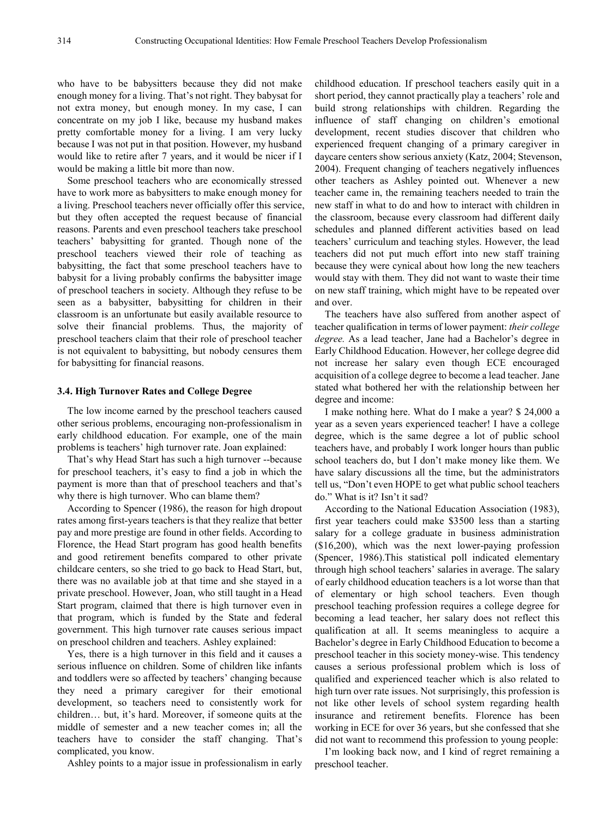who have to be babysitters because they did not make enough money for a living. That's not right. They babysat for not extra money, but enough money. In my case, I can concentrate on my job I like, because my husband makes pretty comfortable money for a living. I am very lucky because I was not put in that position. However, my husband would like to retire after 7 years, and it would be nicer if I would be making a little bit more than now.

Some preschool teachers who are economically stressed have to work more as babysitters to make enough money for a living. Preschool teachers never officially offer this service, but they often accepted the request because of financial reasons. Parents and even preschool teachers take preschool teachers' babysitting for granted. Though none of the preschool teachers viewed their role of teaching as babysitting, the fact that some preschool teachers have to babysit for a living probably confirms the babysitter image of preschool teachers in society. Although they refuse to be seen as a babysitter, babysitting for children in their classroom is an unfortunate but easily available resource to solve their financial problems. Thus, the majority of preschool teachers claim that their role of preschool teacher is not equivalent to babysitting, but nobody censures them for babysitting for financial reasons.

#### **3.4. High Turnover Rates and College Degree**

The low income earned by the preschool teachers caused other serious problems, encouraging non-professionalism in early childhood education. For example, one of the main problems is teachers' high turnover rate. Joan explained:

That's why Head Start has such a high turnover --because for preschool teachers, it's easy to find a job in which the payment is more than that of preschool teachers and that's why there is high turnover. Who can blame them?

According to Spencer (1986), the reason for high dropout rates among first-years teachers is that they realize that better pay and more prestige are found in other fields. According to Florence, the Head Start program has good health benefits and good retirement benefits compared to other private childcare centers, so she tried to go back to Head Start, but, there was no available job at that time and she stayed in a private preschool. However, Joan, who still taught in a Head Start program, claimed that there is high turnover even in that program, which is funded by the State and federal government. This high turnover rate causes serious impact on preschool children and teachers. Ashley explained:

Yes, there is a high turnover in this field and it causes a serious influence on children. Some of children like infants and toddlers were so affected by teachers' changing because they need a primary caregiver for their emotional development, so teachers need to consistently work for children… but, it's hard. Moreover, if someone quits at the middle of semester and a new teacher comes in; all the teachers have to consider the staff changing. That's complicated, you know.

Ashley points to a major issue in professionalism in early

childhood education. If preschool teachers easily quit in a short period, they cannot practically play a teachers' role and build strong relationships with children. Regarding the influence of staff changing on children's emotional development, recent studies discover that children who experienced frequent changing of a primary caregiver in daycare centers show serious anxiety (Katz, 2004; Stevenson, 2004). Frequent changing of teachers negatively influences other teachers as Ashley pointed out. Whenever a new teacher came in, the remaining teachers needed to train the new staff in what to do and how to interact with children in the classroom, because every classroom had different daily schedules and planned different activities based on lead teachers' curriculum and teaching styles. However, the lead teachers did not put much effort into new staff training because they were cynical about how long the new teachers would stay with them. They did not want to waste their time on new staff training, which might have to be repeated over and over.

The teachers have also suffered from another aspect of teacher qualification in terms of lower payment: *their college degree.* As a lead teacher, Jane had a Bachelor's degree in Early Childhood Education. However, her college degree did not increase her salary even though ECE encouraged acquisition of a college degree to become a lead teacher. Jane stated what bothered her with the relationship between her degree and income:

I make nothing here. What do I make a year? \$ 24,000 a year as a seven years experienced teacher! I have a college degree, which is the same degree a lot of public school teachers have, and probably I work longer hours than public school teachers do, but I don't make money like them. We have salary discussions all the time, but the administrators tell us, "Don't even HOPE to get what public school teachers do." What is it? Isn't it sad?

According to the National Education Association (1983), first year teachers could make \$3500 less than a starting salary for a college graduate in business administration (\$16,200), which was the next lower-paying profession (Spencer, 1986).This statistical poll indicated elementary through high school teachers' salaries in average. The salary of early childhood education teachers is a lot worse than that of elementary or high school teachers. Even though preschool teaching profession requires a college degree for becoming a lead teacher, her salary does not reflect this qualification at all. It seems meaningless to acquire a Bachelor's degree in Early Childhood Education to become a preschool teacher in this society money-wise. This tendency causes a serious professional problem which is loss of qualified and experienced teacher which is also related to high turn over rate issues. Not surprisingly, this profession is not like other levels of school system regarding health insurance and retirement benefits. Florence has been working in ECE for over 36 years, but she confessed that she did not want to recommend this profession to young people:

I'm looking back now, and I kind of regret remaining a preschool teacher.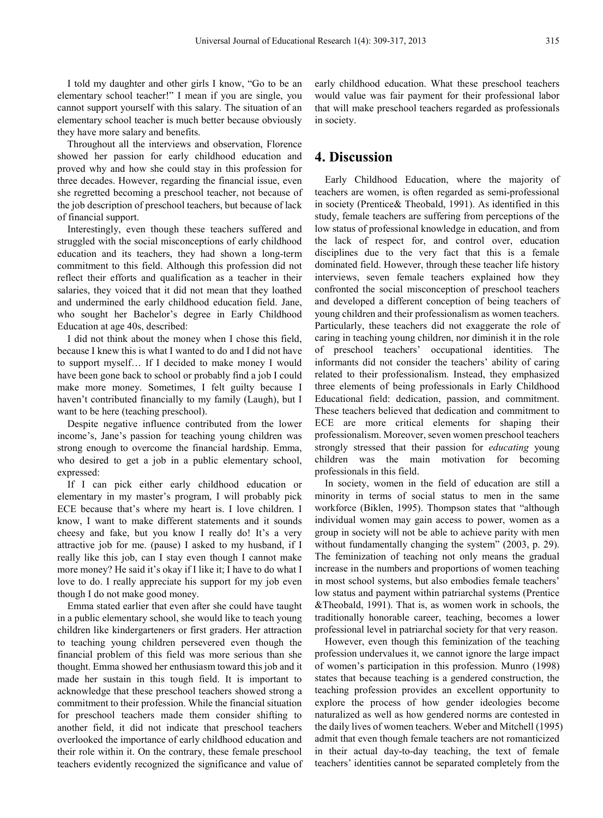I told my daughter and other girls I know, "Go to be an elementary school teacher!" I mean if you are single, you cannot support yourself with this salary. The situation of an elementary school teacher is much better because obviously they have more salary and benefits.

Throughout all the interviews and observation, Florence showed her passion for early childhood education and proved why and how she could stay in this profession for three decades. However, regarding the financial issue, even she regretted becoming a preschool teacher, not because of the job description of preschool teachers, but because of lack of financial support.

Interestingly, even though these teachers suffered and struggled with the social misconceptions of early childhood education and its teachers, they had shown a long-term commitment to this field. Although this profession did not reflect their efforts and qualification as a teacher in their salaries, they voiced that it did not mean that they loathed and undermined the early childhood education field. Jane, who sought her Bachelor's degree in Early Childhood Education at age 40s, described:

I did not think about the money when I chose this field, because I knew this is what I wanted to do and I did not have to support myself… If I decided to make money I would have been gone back to school or probably find a job I could make more money. Sometimes, I felt guilty because I haven't contributed financially to my family (Laugh), but I want to be here (teaching preschool).

Despite negative influence contributed from the lower income's, Jane's passion for teaching young children was strong enough to overcome the financial hardship. Emma, who desired to get a job in a public elementary school, expressed:

If I can pick either early childhood education or elementary in my master's program, I will probably pick ECE because that's where my heart is. I love children. I know, I want to make different statements and it sounds cheesy and fake, but you know I really do! It's a very attractive job for me. (pause) I asked to my husband, if I really like this job, can I stay even though I cannot make more money? He said it's okay if I like it; I have to do what I love to do. I really appreciate his support for my job even though I do not make good money.

Emma stated earlier that even after she could have taught in a public elementary school, she would like to teach young children like kindergarteners or first graders. Her attraction to teaching young children persevered even though the financial problem of this field was more serious than she thought. Emma showed her enthusiasm toward this job and it made her sustain in this tough field. It is important to acknowledge that these preschool teachers showed strong a commitment to their profession. While the financial situation for preschool teachers made them consider shifting to another field, it did not indicate that preschool teachers overlooked the importance of early childhood education and their role within it. On the contrary, these female preschool teachers evidently recognized the significance and value of

early childhood education. What these preschool teachers would value was fair payment for their professional labor that will make preschool teachers regarded as professionals in society.

## **4. Discussion**

Early Childhood Education, where the majority of teachers are women, is often regarded as semi-professional in society (Prentice& Theobald, 1991). As identified in this study, female teachers are suffering from perceptions of the low status of professional knowledge in education, and from the lack of respect for, and control over, education disciplines due to the very fact that this is a female dominated field. However, through these teacher life history interviews, seven female teachers explained how they confronted the social misconception of preschool teachers and developed a different conception of being teachers of young children and their professionalism as women teachers. Particularly, these teachers did not exaggerate the role of caring in teaching young children, nor diminish it in the role of preschool teachers' occupational identities. The informants did not consider the teachers' ability of caring related to their professionalism. Instead, they emphasized three elements of being professionals in Early Childhood Educational field: dedication, passion, and commitment. These teachers believed that dedication and commitment to ECE are more critical elements for shaping their professionalism. Moreover, seven women preschool teachers strongly stressed that their passion for *educating* young children was the main motivation for becoming professionals in this field.

In society, women in the field of education are still a minority in terms of social status to men in the same workforce (Biklen, 1995). Thompson states that "although individual women may gain access to power, women as a group in society will not be able to achieve parity with men without fundamentally changing the system" (2003, p. 29). The feminization of teaching not only means the gradual increase in the numbers and proportions of women teaching in most school systems, but also embodies female teachers' low status and payment within patriarchal systems (Prentice &Theobald, 1991). That is, as women work in schools, the traditionally honorable career, teaching, becomes a lower professional level in patriarchal society for that very reason.

However, even though this feminization of the teaching profession undervalues it, we cannot ignore the large impact of women's participation in this profession. Munro (1998) states that because teaching is a gendered construction, the teaching profession provides an excellent opportunity to explore the process of how gender ideologies become naturalized as well as how gendered norms are contested in the daily lives of women teachers. Weber and Mitchell (1995) admit that even though female teachers are not romanticized in their actual day-to-day teaching, the text of female teachers' identities cannot be separated completely from the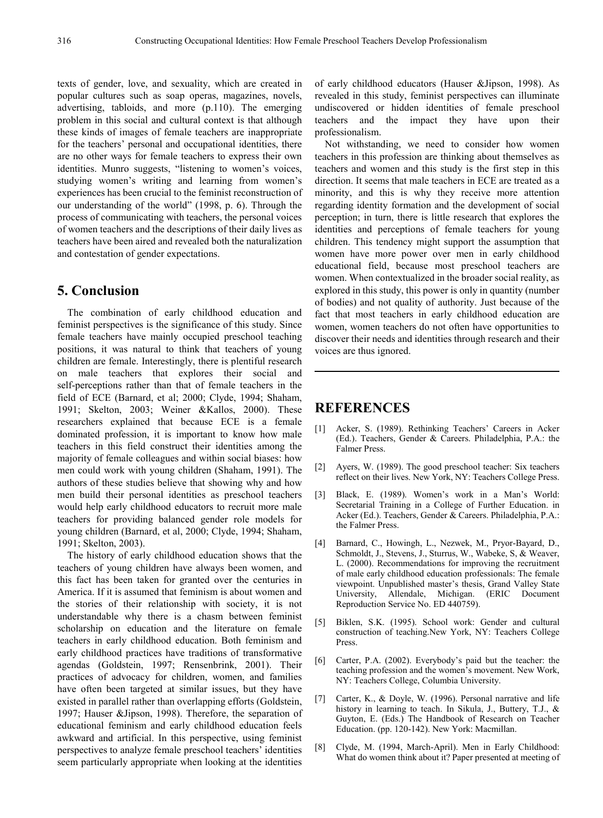texts of gender, love, and sexuality, which are created in popular cultures such as soap operas, magazines, novels, advertising, tabloids, and more (p.110). The emerging problem in this social and cultural context is that although these kinds of images of female teachers are inappropriate for the teachers' personal and occupational identities, there are no other ways for female teachers to express their own identities. Munro suggests, "listening to women's voices, studying women's writing and learning from women's experiences has been crucial to the feminist reconstruction of our understanding of the world" (1998, p. 6). Through the process of communicating with teachers, the personal voices of women teachers and the descriptions of their daily lives as teachers have been aired and revealed both the naturalization and contestation of gender expectations.

## **5. Conclusion**

The combination of early childhood education and feminist perspectives is the significance of this study. Since female teachers have mainly occupied preschool teaching positions, it was natural to think that teachers of young children are female. Interestingly, there is plentiful research on male teachers that explores their social and self-perceptions rather than that of female teachers in the field of ECE (Barnard, et al; 2000; Clyde, 1994; Shaham, 1991; Skelton, 2003; Weiner &Kallos, 2000). These researchers explained that because ECE is a female dominated profession, it is important to know how male teachers in this field construct their identities among the majority of female colleagues and within social biases: how men could work with young children (Shaham, 1991). The authors of these studies believe that showing why and how men build their personal identities as preschool teachers would help early childhood educators to recruit more male teachers for providing balanced gender role models for young children (Barnard, et al, 2000; Clyde, 1994; Shaham, 1991; Skelton, 2003).

The history of early childhood education shows that the teachers of young children have always been women, and this fact has been taken for granted over the centuries in America. If it is assumed that feminism is about women and the stories of their relationship with society, it is not understandable why there is a chasm between feminist scholarship on education and the literature on female teachers in early childhood education. Both feminism and early childhood practices have traditions of transformative agendas (Goldstein, 1997; Rensenbrink, 2001). Their practices of advocacy for children, women, and families have often been targeted at similar issues, but they have existed in parallel rather than overlapping efforts (Goldstein, 1997; Hauser &Jipson, 1998). Therefore, the separation of educational feminism and early childhood education feels awkward and artificial. In this perspective, using feminist perspectives to analyze female preschool teachers' identities seem particularly appropriate when looking at the identities

of early childhood educators (Hauser &Jipson, 1998). As revealed in this study, feminist perspectives can illuminate undiscovered or hidden identities of female preschool teachers and the impact they have upon their professionalism.

Not withstanding, we need to consider how women teachers in this profession are thinking about themselves as teachers and women and this study is the first step in this direction. It seems that male teachers in ECE are treated as a minority, and this is why they receive more attention regarding identity formation and the development of social perception; in turn, there is little research that explores the identities and perceptions of female teachers for young children. This tendency might support the assumption that women have more power over men in early childhood educational field, because most preschool teachers are women. When contextualized in the broader social reality, as explored in this study, this power is only in quantity (number of bodies) and not quality of authority. Just because of the fact that most teachers in early childhood education are women, women teachers do not often have opportunities to discover their needs and identities through research and their voices are thus ignored.

## **REFERENCES**

- [1] Acker, S. (1989). Rethinking Teachers' Careers in Acker (Ed.). Teachers, Gender & Careers. Philadelphia, P.A.: the Falmer Press.
- [2] Ayers, W. (1989). The good preschool teacher: Six teachers reflect on their lives. New York, NY: Teachers College Press.
- [3] Black, E. (1989). Women's work in a Man's World: Secretarial Training in a College of Further Education. in Acker (Ed.). Teachers, Gender & Careers. Philadelphia, P.A.: the Falmer Press.
- [4] Barnard, C., Howingh, L., Nezwek, M., Pryor-Bayard, D., Schmoldt, J., Stevens, J., Sturrus, W., Wabeke, S, & Weaver, L. (2000). Recommendations for improving the recruitment of male early childhood education professionals: The female viewpoint. Unpublished master's thesis, Grand Valley State University, Allendale, Michigan. (ERIC Document Reproduction Service No. ED 440759).
- [5] Biklen, S.K. (1995). School work: Gender and cultural construction of teaching.New York, NY: Teachers College Press.
- [6] Carter, P.A. (2002). Everybody's paid but the teacher: the teaching profession and the women's movement. New Work, NY: Teachers College, Columbia University.
- [7] Carter, K., & Doyle, W. (1996). Personal narrative and life history in learning to teach. In Sikula, J., Buttery, T.J., & Guyton, E. (Eds.) The Handbook of Research on Teacher Education. (pp. 120-142). New York: Macmillan.
- [8] Clyde, M. (1994, March-April). Men in Early Childhood: What do women think about it? Paper presented at meeting of